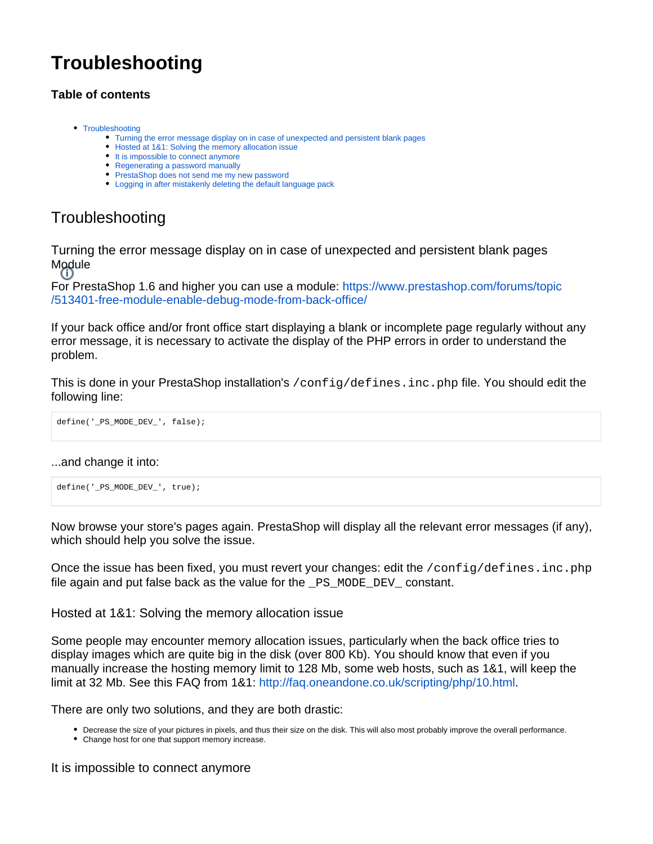# **Troubleshooting**

## **Table of contents**

- [Troubleshooting](#page-0-0)
	- [Turning the error message display on in case of unexpected and persistent blank pages](#page-0-1)
	- [Hosted at 1&1: Solving the memory allocation issue](#page-0-2)
	- [It is impossible to connect anymore](#page-0-3)
	- [Regenerating a password manually](#page-1-0)
	- [PrestaShop does not send me my new password](#page-1-1)
	- [Logging in after mistakenly deleting the default language pack](#page-2-0)

# <span id="page-0-0"></span>**Troubleshooting**

<span id="page-0-1"></span>Turning the error message display on in case of unexpected and persistent blank pages Module<br>(i)

For PrestaShop 1.6 and higher you can use a module: [https://www.prestashop.com/forums/topic](https://www.prestashop.com/forums/topic/513401-free-module-enable-debug-mode-from-back-office/) [/513401-free-module-enable-debug-mode-from-back-office/](https://www.prestashop.com/forums/topic/513401-free-module-enable-debug-mode-from-back-office/)

If your back office and/or front office start displaying a blank or incomplete page regularly without any error message, it is necessary to activate the display of the PHP errors in order to understand the problem.

This is done in your PrestaShop installation's /config/defines.inc.php file. You should edit the following line:

define('\_PS\_MODE\_DEV\_', false);

#### ...and change it into:

```
define('_PS_MODE_DEV_', true);
```
Now browse your store's pages again. PrestaShop will display all the relevant error messages (if any), which should help you solve the issue.

Once the issue has been fixed, you must revert your changes: edit the /config/defines.inc.php file again and put false back as the value for the \_PS\_MODE\_DEV\_ constant.

<span id="page-0-2"></span>Hosted at 1&1: Solving the memory allocation issue

Some people may encounter memory allocation issues, particularly when the back office tries to display images which are quite big in the disk (over 800 Kb). You should know that even if you manually increase the hosting memory limit to 128 Mb, some web hosts, such as 1&1, will keep the limit at 32 Mb. See this FAQ from 1&1:<http://faq.oneandone.co.uk/scripting/php/10.html>.

There are only two solutions, and they are both drastic:

- Decrease the size of your pictures in pixels, and thus their size on the disk. This will also most probably improve the overall performance.
- Change host for one that support memory increase.

<span id="page-0-3"></span>It is impossible to connect anymore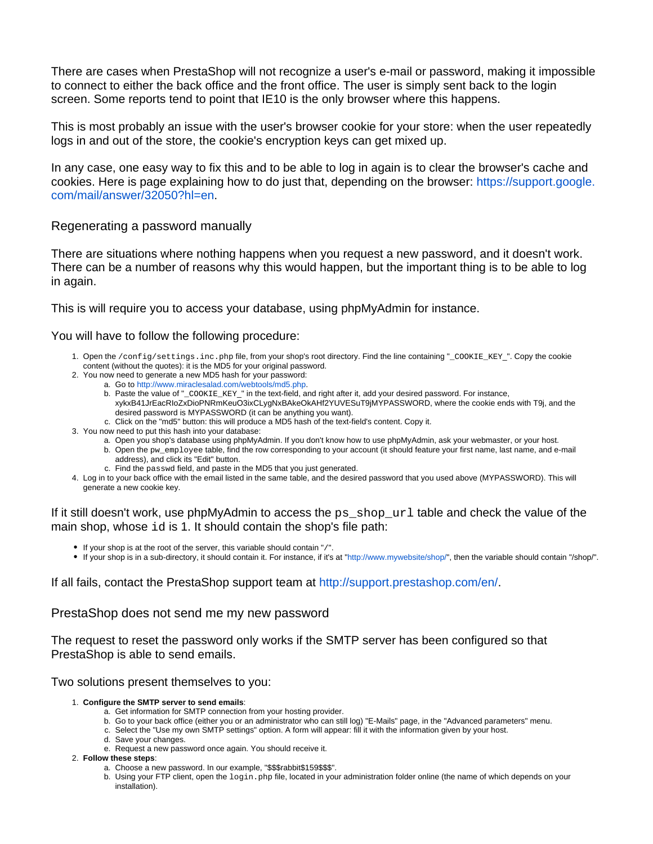There are cases when PrestaShop will not recognize a user's e-mail or password, making it impossible to connect to either the back office and the front office. The user is simply sent back to the login screen. Some reports tend to point that IE10 is the only browser where this happens.

This is most probably an issue with the user's browser cookie for your store: when the user repeatedly logs in and out of the store, the cookie's encryption keys can get mixed up.

In any case, one easy way to fix this and to be able to log in again is to clear the browser's cache and cookies. Here is page explaining how to do just that, depending on the browser: [https://support.google.](https://support.google.com/mail/answer/32050?hl=en) [com/mail/answer/32050?hl=en.](https://support.google.com/mail/answer/32050?hl=en)

#### <span id="page-1-0"></span>Regenerating a password manually

There are situations where nothing happens when you request a new password, and it doesn't work. There can be a number of reasons why this would happen, but the important thing is to be able to log in again.

This is will require you to access your database, using phpMyAdmin for instance.

#### You will have to follow the following procedure:

- 1. Open the /config/settings.inc.php file, from your shop's root directory. Find the line containing "\_COOKIE\_KEY\_". Copy the cookie content (without the quotes): it is the MD5 for your original password.
- 2. You now need to generate a new MD5 hash for your password:
	- a. Go to [http://www.miraclesalad.com/webtools/md5.php.](http://www.miraclesalad.com/webtools/md5.php)
	- b. Paste the value of "\_COOKIE\_KEY\_" in the text-field, and right after it, add your desired password. For instance, xykxB41JrEacRIoZxDioPNRmKeuO3ixCLygNxBAkeOkAHf2YUVESuT9jMYPASSWORD, where the cookie ends with T9j, and the desired password is MYPASSWORD (it can be anything you want).
	- c. Click on the "md5" button: this will produce a MD5 hash of the text-field's content. Copy it.
- 3. You now need to put this hash into your database:
	- a. Open you shop's database using phpMyAdmin. If you don't know how to use phpMyAdmin, ask your webmaster, or your host. b. Open the pw\_employee table, find the row corresponding to your account (it should feature your first name, last name, and e-mail address), and click its "Edit" button.
	- c. Find the passwd field, and paste in the MD5 that you just generated.
- 4. Log in to your back office with the email listed in the same table, and the desired password that you used above (MYPASSWORD). This will generate a new cookie key.

If it still doesn't work, use phpMyAdmin to access the  $ps\_shop\_url$  table and check the value of the main shop, whose id is 1. It should contain the shop's file path:

- $\bullet$  If your shop is at the root of the server, this variable should contain "/".
- If your shop is in a sub-directory, it should contain it. For instance, if it's at "[http://www.mywebsite/shop/"](http://www.mywebsite/shop/), then the variable should contain "/shop/".

If all fails, contact the PrestaShop support team at<http://support.prestashop.com/en/>.

<span id="page-1-1"></span>PrestaShop does not send me my new password

The request to reset the password only works if the SMTP server has been configured so that PrestaShop is able to send emails.

#### Two solutions present themselves to you:

- 1. **Configure the SMTP server to send emails**:
	- a. Get information for SMTP connection from your hosting provider.
	- b. Go to your back office (either you or an administrator who can still log) "E-Mails" page, in the "Advanced parameters" menu.
	- c. Select the "Use my own SMTP settings" option. A form will appear: fill it with the information given by your host.
	- d. Save your changes. e. Request a new password once again. You should receive it.
- 2. **Follow these steps**:
	- a. Choose a new password. In our example, "\$\$\$rabbit\$159\$\$\$".
	- b. Using your FTP client, open the login.php file, located in your administration folder online (the name of which depends on your installation).